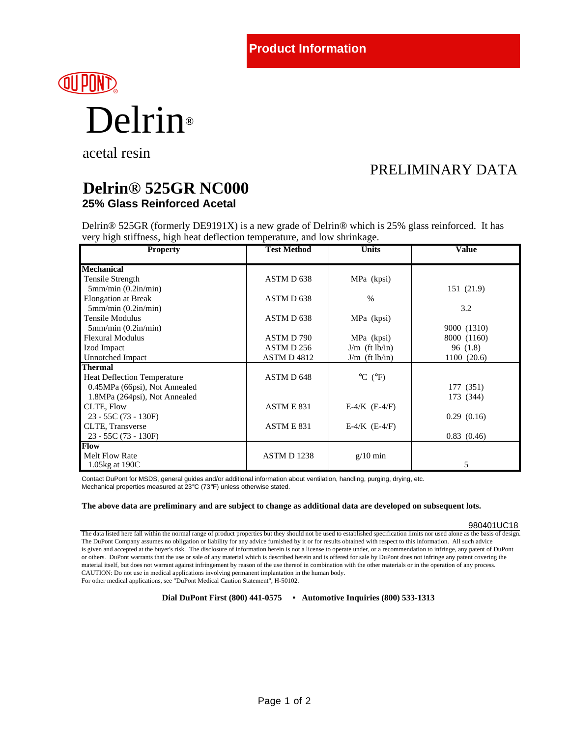# **QUIPONT** Delrin**®**

acetal resin

## PRELIMINARY DATA

### **Delrin® 525GR NC000 25% Glass Reinforced Acetal**

Delrin® 525GR (formerly DE9191X) is a new grade of Delrin® which is 25% glass reinforced. It has very high stiffness, high heat deflection temperature, and low shrinkage.

| <b>Property</b>                    | <b>Test Method</b>    | <b>Units</b>                 | Value       |
|------------------------------------|-----------------------|------------------------------|-------------|
| <b>Mechanical</b>                  |                       |                              |             |
| Tensile Strength                   | ASTM D 638            | MPa (kpsi)                   |             |
| 5mm/min (0.2in/min)                |                       |                              | 151 (21.9)  |
| <b>Elongation at Break</b>         | ASTM D <sub>638</sub> | $\frac{0}{0}$                |             |
| 5mm/min (0.2in/min)                |                       |                              | 3.2         |
| Tensile Modulus                    | ASTM D 638            | MPa (kpsi)                   |             |
| 5mm/min (0.2in/min)                |                       |                              | 9000 (1310) |
| <b>Flexural Modulus</b>            | ASTM D 790            | MPa (kpsi)                   | 8000 (1160) |
| Izod Impact                        | ASTM D 256            | $J/m$ (ft $lb/in$ )          | 96(1.8)     |
| Unnotched Impact                   | <b>ASTM D 4812</b>    | $J/m$ (ft lb/in)             | 1100(20.6)  |
| <b>Thermal</b>                     |                       |                              |             |
| <b>Heat Deflection Temperature</b> | ASTM D 648            | $^{\circ}$ C ( $^{\circ}$ F) |             |
| 0.45MPa (66psi), Not Annealed      |                       |                              | 177 (351)   |
| 1.8MPa (264psi), Not Annealed      |                       |                              | 173 (344)   |
| CLTE, Flow                         | ASTM E 831            | $E-4/K$ (E-4/F)              |             |
| $23 - 55C(73 - 130F)$              |                       |                              | 0.29(0.16)  |
| CLTE, Transverse                   | ASTME 831             | $E-4/K$ (E-4/F)              |             |
| $23 - 55C(73 - 130F)$              |                       |                              | 0.83(0.46)  |
| <b>Flow</b>                        |                       |                              |             |
| Melt Flow Rate                     | ASTM D1238            | $g/10$ min                   |             |
| 1.05 kg at 190C                    |                       |                              | 5           |

Contact DuPont for MSDS, general guides and/or additional information about ventilation, handling, purging, drying, etc. Mechanical properties measured at 23°C (73°F) unless otherwise stated.

#### **The above data are preliminary and are subject to change as additional data are developed on subsequent lots.**

#### 980401UC18

The data listed here fall within the normal range of product properties but they should not be used to established specification limits nor used alone as the basis of design. The DuPont Company assumes no obligation or liability for any advice furnished by it or for results obtained with respect to this information. All such advice is given and accepted at the buyer's risk. The disclosure of information herein is not a license to operate under, or a recommendation to infringe, any patent of DuPont or others. DuPont warrants that the use or sale of any material which is described herein and is offered for sale by DuPont does not infringe any patent covering the material itself, but does not warrant against infringement by reason of the use thereof in combination with the other materials or in the operation of any process. CAUTION: Do not use in medical applications involving permanent implantation in the human body. For other medical applications, see "DuPont Medical Caution Statement", H-50102.

**Dial DuPont First (800) 441-0575 • Automotive Inquiries (800) 533-1313**